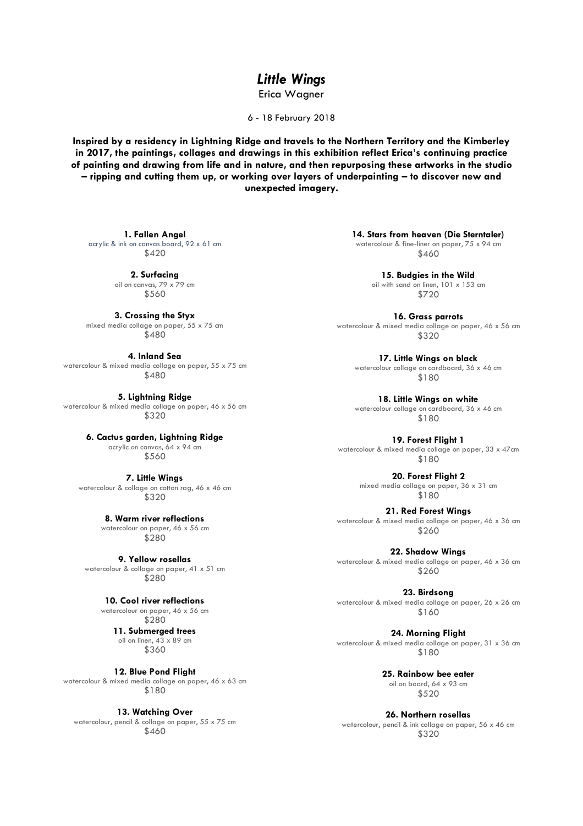## *Little Wings*

Erica Wagner

6 - 18 February 2018

**Inspired by a residency in Lightning Ridge and travels to the Northern Territory and the Kimberley in 2017, the paintings, collages and drawings in this exhibition reflect Erica's continuing practice of painting and drawing from life and in nature, and then repurposing these artworks in the studio – ripping and cutting them up, or working over layers of underpainting – to discover new and unexpected imagery.**

**1. Fallen Angel** acrylic & ink on canvas board, 92 x 61 cm \$420

> **2. Surfacing** oil on canvas, 79 x 79 cm \$560

**3. Crossing the Styx** mixed media collage on paper, 55 x 75 cm \$480

**4. Inland Sea** watercolour & mixed media collage on paper, 55 x 75 cm \$480

**5. Lightning Ridge** watercolour & mixed media collage on paper, 46 x 56 cm \$320

> **6. Cactus garden, Lightning Ridge** acrylic on canvas, 64 x 94 cm \$560

**7. Little Wings** watercolour & collage on cotton rag, 46 x 46 cm \$320

> **8. Warm river reflections** watercolour on paper, 46 x 56 cm \$280

**9. Yellow rosellas** watercolour & collage on paper, 41 x 51 cm \$280

> **10. Cool river reflections** watercolour on paper, 46 x 56 cm \$280

**11. Submerged trees** oil on linen, 43 x 89 cm \$360

**12. Blue Pond Flight** watercolour & mixed media collage on paper, 46 x 63 cm \$180

**13. Watching Over** watercolour, pencil & collage on paper, 55 x 75 cm \$460

**14. Stars from heaven (Die Sterntaler)** watercolour & fine-liner on paper, 75 x 94 cm \$460

> **15. Budgies in the Wild** oil with sand on linen, 101 x 153 cm \$720

**16. Grass parrots** watercolour & mixed media collage on paper, 46 x 56 cm \$320

**17. Little Wings on black** watercolour collage on cardboard, 36 x 46 cm \$180

**18. Little Wings on white** watercolour collage on cardboard, 36 x 46 cm \$180

**19. Forest Flight 1** watercolour & mixed media collage on paper, 33 x 47cm \$180

> **20. Forest Flight 2** mixed media collage on paper, 36 x 31 cm \$180

**21. Red Forest Wings** watercolour & mixed media collage on paper, 46 x 36 cm \$260

**22. Shadow Wings** watercolour & mixed media collage on paper, 46 x 36 cm \$260

**23. Birdsong** watercolour & mixed media collage on paper, 26 x 26 cm \$160

**24. Morning Flight** watercolour & mixed media collage on paper, 31 x 36 cm \$180

> **25. Rainbow bee eater** oil on board, 64 x 93 cm \$520

**26. Northern rosellas** watercolour, pencil & ink collage on paper, 56 x 46 cm \$320